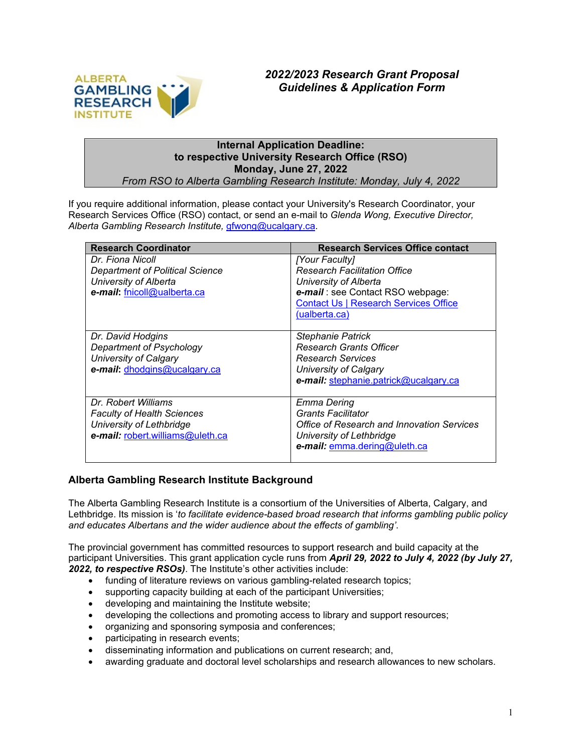

# **Internal Application Deadline: to respective University Research Office (RSO) Monday, June 27, 2022**

*From RSO to Alberta Gambling Research Institute: Monday, July 4, 2022*

If you require additional information, please contact your University's Research Coordinator, your Research Services Office (RSO) contact, or send an e-mail to *Glenda Wong, Executive Director, Alberta Gambling Research Institute,* [gfwong@ucalgary.ca.](mailto:gfwong@ucalgary.ca)

| <b>Research Coordinator</b>            | <b>Research Services Office contact</b>      |
|----------------------------------------|----------------------------------------------|
| Dr. Fiona Nicoll                       | [Your Faculty]                               |
| <b>Department of Political Science</b> | <b>Research Facilitation Office</b>          |
| University of Alberta                  | University of Alberta                        |
| e-mail: fnicoll@ualberta.ca            | e-mail: see Contact RSO webpage:             |
|                                        | <b>Contact Us   Research Services Office</b> |
|                                        | (ualberta.ca)                                |
|                                        |                                              |
| Dr. David Hodgins                      | <b>Stephanie Patrick</b>                     |
| Department of Psychology               | <b>Research Grants Officer</b>               |
| <b>University of Calgary</b>           | <b>Research Services</b>                     |
| e-mail: dhodgins@ucalgary.ca           | University of Calgary                        |
|                                        | e-mail: stephanie.patrick@ucalgary.ca        |
|                                        |                                              |
| Dr. Robert Williams                    | Emma Dering                                  |
| <b>Faculty of Health Sciences</b>      | <b>Grants Facilitator</b>                    |
| University of Lethbridge               | Office of Research and Innovation Services   |
| e-mail: robert.williams@uleth.ca       | University of Lethbridge                     |
|                                        | e-mail: emma.dering@uleth.ca                 |
|                                        |                                              |

## **Alberta Gambling Research Institute Background**

The Alberta Gambling Research Institute is a consortium of the Universities of Alberta, Calgary, and Lethbridge. Its mission is '*to facilitate evidence-based broad research that informs gambling public policy and educates Albertans and the wider audience about the effects of gambling'*.

The provincial government has committed resources to support research and build capacity at the participant Universities. This grant application cycle runs from *April 29, 2022 to July 4, 2022 (by July 27, 2022, to respective RSOs)*. The Institute's other activities include:

- funding of literature reviews on various gambling-related research topics;
- supporting capacity building at each of the participant Universities;
- developing and maintaining the Institute website;
- developing the collections and promoting access to library and support resources;
- organizing and sponsoring symposia and conferences;
- participating in research events;
- disseminating information and publications on current research; and,
- awarding graduate and doctoral level scholarships and research allowances to new scholars.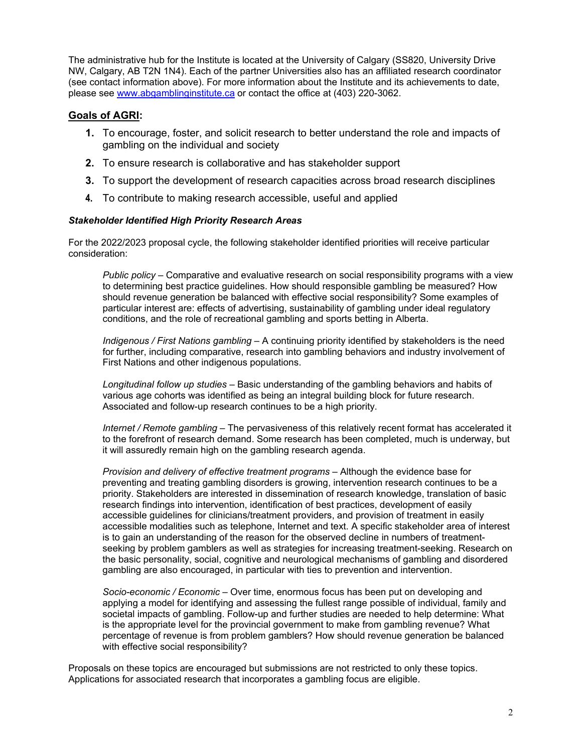The administrative hub for the Institute is located at the University of Calgary (SS820, University Drive NW, Calgary, AB T2N 1N4). Each of the partner Universities also has an affiliated research coordinator (see contact information above). For more information about the Institute and its achievements to date, please see [www.abgamblinginstitute.ca](http://www.abgamblinginstitute.ca/) or contact the office at (403) 220-3062.

## **Goals of AGRI:**

- **1.** To encourage, foster, and solicit research to better understand the role and impacts of gambling on the individual and society
- **2.** To ensure research is collaborative and has stakeholder support
- **3.** To support the development of research capacities across broad research disciplines
- **4.** To contribute to making research accessible, useful and applied

#### *Stakeholder Identified High Priority Research Areas*

For the 2022/2023 proposal cycle, the following stakeholder identified priorities will receive particular consideration:

*Public policy –* Comparative and evaluative research on social responsibility programs with a view to determining best practice guidelines. How should responsible gambling be measured? How should revenue generation be balanced with effective social responsibility? Some examples of particular interest are: effects of advertising, sustainability of gambling under ideal regulatory conditions, and the role of recreational gambling and sports betting in Alberta.

*Indigenous / First Nations gambling –* A continuing priority identified by stakeholders is the need for further, including comparative, research into gambling behaviors and industry involvement of First Nations and other indigenous populations.

*Longitudinal follow up studies –* Basic understanding of the gambling behaviors and habits of various age cohorts was identified as being an integral building block for future research. Associated and follow-up research continues to be a high priority.

*Internet / Remote gambling* – The pervasiveness of this relatively recent format has accelerated it to the forefront of research demand. Some research has been completed, much is underway, but it will assuredly remain high on the gambling research agenda.

*Provision and delivery of effective treatment programs* – Although the evidence base for preventing and treating gambling disorders is growing, intervention research continues to be a priority. Stakeholders are interested in dissemination of research knowledge, translation of basic research findings into intervention, identification of best practices, development of easily accessible guidelines for clinicians/treatment providers, and provision of treatment in easily accessible modalities such as telephone, Internet and text. A specific stakeholder area of interest is to gain an understanding of the reason for the observed decline in numbers of treatmentseeking by problem gamblers as well as strategies for increasing treatment-seeking. Research on the basic personality, social, cognitive and neurological mechanisms of gambling and disordered gambling are also encouraged, in particular with ties to prevention and intervention.

*Socio-economic / Economic* – Over time, enormous focus has been put on developing and applying a model for identifying and assessing the fullest range possible of individual, family and societal impacts of gambling. Follow-up and further studies are needed to help determine: What is the appropriate level for the provincial government to make from gambling revenue? What percentage of revenue is from problem gamblers? How should revenue generation be balanced with effective social responsibility?

Proposals on these topics are encouraged but submissions are not restricted to only these topics. Applications for associated research that incorporates a gambling focus are eligible.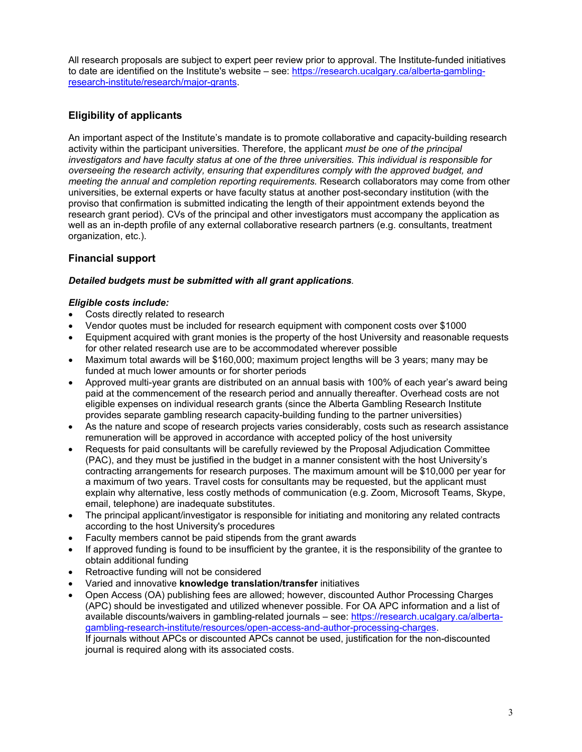All research proposals are subject to expert peer review prior to approval. The Institute-funded initiatives to date are identified on the Institute's website – see: [https://research.ucalgary.ca/alberta-gambling](https://research.ucalgary.ca/alberta-gambling-research-institute/research/major-grants)[research-institute/research/major-grants.](https://research.ucalgary.ca/alberta-gambling-research-institute/research/major-grants)

# **Eligibility of applicants**

An important aspect of the Institute's mandate is to promote collaborative and capacity-building research activity within the participant universities. Therefore, the applicant *must be one of the principal investigators and have faculty status at one of the three universities. This individual is responsible for overseeing the research activity, ensuring that expenditures comply with the approved budget, and meeting the annual and completion reporting requirements.* Research collaborators may come from other universities, be external experts or have faculty status at another post-secondary institution (with the proviso that confirmation is submitted indicating the length of their appointment extends beyond the research grant period). CVs of the principal and other investigators must accompany the application as well as an in-depth profile of any external collaborative research partners (e.g. consultants, treatment organization, etc.).

# **Financial support**

#### *Detailed budgets must be submitted with all grant applications.*

#### *Eligible costs include:*

- Costs directly related to research
- Vendor quotes must be included for research equipment with component costs over \$1000
- Equipment acquired with grant monies is the property of the host University and reasonable requests for other related research use are to be accommodated wherever possible
- Maximum total awards will be \$160,000; maximum project lengths will be 3 years; many may be funded at much lower amounts or for shorter periods
- Approved multi-year grants are distributed on an annual basis with 100% of each year's award being paid at the commencement of the research period and annually thereafter. Overhead costs are not eligible expenses on individual research grants (since the Alberta Gambling Research Institute provides separate gambling research capacity-building funding to the partner universities)
- As the nature and scope of research projects varies considerably, costs such as research assistance remuneration will be approved in accordance with accepted policy of the host university
- Requests for paid consultants will be carefully reviewed by the Proposal Adjudication Committee (PAC), and they must be justified in the budget in a manner consistent with the host University's contracting arrangements for research purposes. The maximum amount will be \$10,000 per year for a maximum of two years. Travel costs for consultants may be requested, but the applicant must explain why alternative, less costly methods of communication (e.g. Zoom, Microsoft Teams, Skype, email, telephone) are inadequate substitutes.
- The principal applicant/investigator is responsible for initiating and monitoring any related contracts according to the host University's procedures
- Faculty members cannot be paid stipends from the grant awards
- If approved funding is found to be insufficient by the grantee, it is the responsibility of the grantee to obtain additional funding
- Retroactive funding will not be considered
- Varied and innovative **knowledge translation/transfer** initiatives
- Open Access (OA) publishing fees are allowed; however, discounted Author Processing Charges (APC) should be investigated and utilized whenever possible. For OA APC information and a list of available discounts/waivers in gambling-related journals – see: [https://research.ucalgary.ca/alberta](https://research.ucalgary.ca/alberta-gambling-research-institute/resources/open-access-and-author-processing-charges)[gambling-research-institute/resources/open-access-and-author-processing-charges.](https://research.ucalgary.ca/alberta-gambling-research-institute/resources/open-access-and-author-processing-charges) If journals without APCs or discounted APCs cannot be used, justification for the non-discounted journal is required along with its associated costs.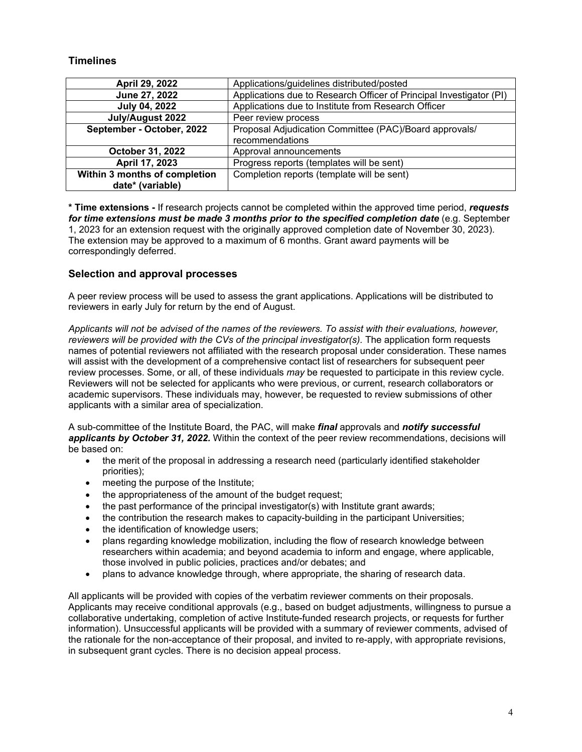### **Timelines**

| April 29, 2022                | Applications/guidelines distributed/posted                          |  |
|-------------------------------|---------------------------------------------------------------------|--|
| June 27, 2022                 | Applications due to Research Officer of Principal Investigator (PI) |  |
| <b>July 04, 2022</b>          | Applications due to Institute from Research Officer                 |  |
| July/August 2022              | Peer review process                                                 |  |
| September - October, 2022     | Proposal Adjudication Committee (PAC)/Board approvals/              |  |
|                               | recommendations                                                     |  |
| October 31, 2022              | Approval announcements                                              |  |
| April 17, 2023                | Progress reports (templates will be sent)                           |  |
| Within 3 months of completion | Completion reports (template will be sent)                          |  |
| date* (variable)              |                                                                     |  |

**\* Time extensions -** If research projects cannot be completed within the approved time period, *requests*  for time extensions must be made 3 months prior to the specified completion date (e.g. September 1, 2023 for an extension request with the originally approved completion date of November 30, 2023). The extension may be approved to a maximum of 6 months. Grant award payments will be correspondingly deferred.

#### **Selection and approval processes**

A peer review process will be used to assess the grant applications. Applications will be distributed to reviewers in early July for return by the end of August.

*Applicants will not be advised of the names of the reviewers. To assist with their evaluations, however, reviewers will be provided with the CVs of the principal investigator(s).* The application form requests names of potential reviewers not affiliated with the research proposal under consideration. These names will assist with the development of a comprehensive contact list of researchers for subsequent peer review processes. Some, or all, of these individuals *may* be requested to participate in this review cycle. Reviewers will not be selected for applicants who were previous, or current, research collaborators or academic supervisors. These individuals may, however, be requested to review submissions of other applicants with a similar area of specialization.

A sub-committee of the Institute Board, the PAC, will make *final* approvals and *notify successful applicants by October 31, 2022.* Within the context of the peer review recommendations, decisions will be based on:

- the merit of the proposal in addressing a research need (particularly identified stakeholder priorities);
- meeting the purpose of the Institute;
- the appropriateness of the amount of the budget request;
- the past performance of the principal investigator(s) with Institute grant awards;
- the contribution the research makes to capacity-building in the participant Universities;
- the identification of knowledge users:
- plans regarding knowledge mobilization, including the flow of research knowledge between researchers within academia; and beyond academia to inform and engage, where applicable, those involved in public policies, practices and/or debates; and
- plans to advance knowledge through, where appropriate, the sharing of research data.

All applicants will be provided with copies of the verbatim reviewer comments on their proposals. Applicants may receive conditional approvals (e.g., based on budget adjustments, willingness to pursue a collaborative undertaking, completion of active Institute-funded research projects, or requests for further information). Unsuccessful applicants will be provided with a summary of reviewer comments, advised of the rationale for the non-acceptance of their proposal, and invited to re-apply, with appropriate revisions, in subsequent grant cycles. There is no decision appeal process.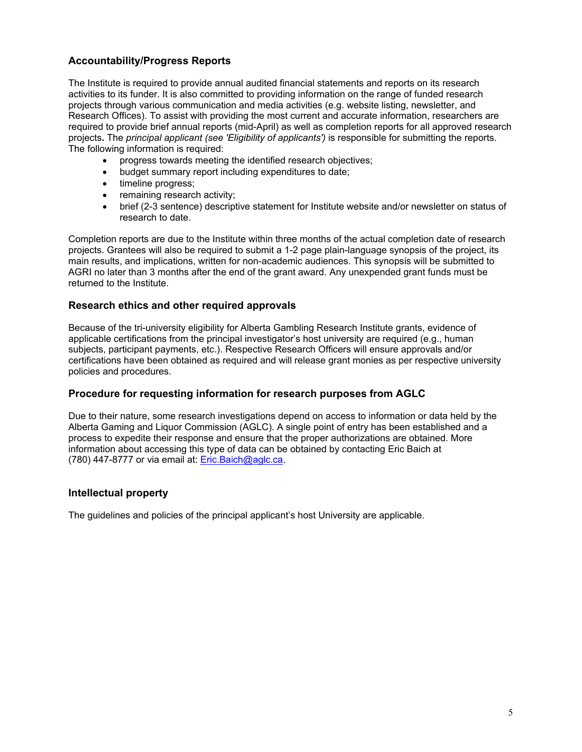# **Accountability/Progress Reports**

The Institute is required to provide annual audited financial statements and reports on its research activities to its funder. It is also committed to providing information on the range of funded research projects through various communication and media activities (e.g. website listing, newsletter, and Research Offices). To assist with providing the most current and accurate information, researchers are required to provide brief annual reports (mid-April) as well as completion reports for all approved research projects**.** The *principal applicant (see 'Eligibility of applicants')* is responsible for submitting the reports. The following information is required:

- progress towards meeting the identified research objectives;
- budget summary report including expenditures to date;
- timeline progress;
- remaining research activity;
- brief (2-3 sentence) descriptive statement for Institute website and/or newsletter on status of research to date.

Completion reports are due to the Institute within three months of the actual completion date of research projects. Grantees will also be required to submit a 1-2 page plain-language synopsis of the project, its main results, and implications, written for non-academic audiences. This synopsis will be submitted to AGRI no later than 3 months after the end of the grant award. Any unexpended grant funds must be returned to the Institute.

#### **Research ethics and other required approvals**

Because of the tri-university eligibility for Alberta Gambling Research Institute grants, evidence of applicable certifications from the principal investigator's host university are required (e.g., human subjects, participant payments, etc.). Respective Research Officers will ensure approvals and/or certifications have been obtained as required and will release grant monies as per respective university policies and procedures.

## **Procedure for requesting information for research purposes from AGLC**

Due to their nature, some research investigations depend on access to information or data held by the Alberta Gaming and Liquor Commission (AGLC). A single point of entry has been established and a process to expedite their response and ensure that the proper authorizations are obtained. More information about accessing this type of data can be obtained by contacting Eric Baich at (780) 447-8777 or via email at: [Eric.Baich@aglc.ca.](mailto:Eric.Baich@aglc.ca)

#### **Intellectual property**

The guidelines and policies of the principal applicant's host University are applicable.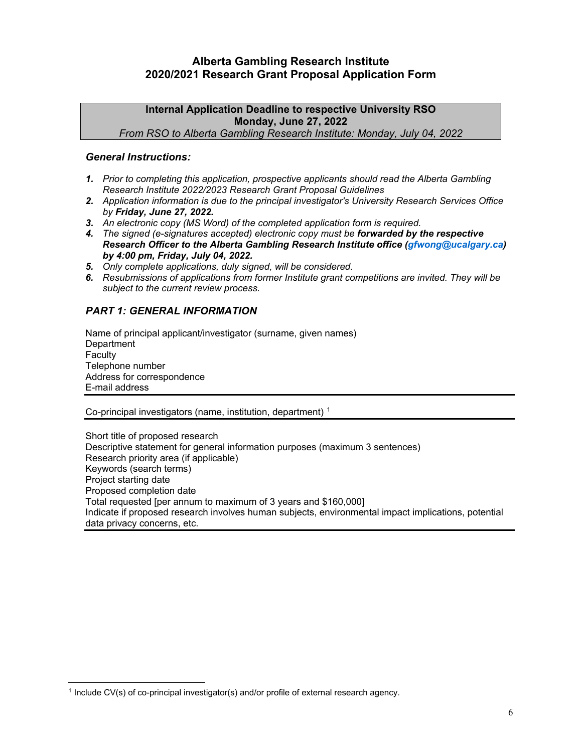# **Alberta Gambling Research Institute 2020/2021 Research Grant Proposal Application Form**

#### **Internal Application Deadline to respective University RSO Monday, June 27, 2022**  *From RSO to Alberta Gambling Research Institute: Monday, July 04, 2022*

#### *General Instructions:*

- *1. Prior to completing this application, prospective applicants should read the Alberta Gambling Research Institute 2022/2023 Research Grant Proposal Guidelines*
- *2. Application information is due to the principal investigator's University Research Services Office by Friday, June 27, 2022.*
- *3. An electronic copy (MS Word) of the completed application form is required.*
- *4. The signed (e-signatures accepted) electronic copy must be forwarded by the respective Research Officer to the Alberta Gambling Research Institute office (gfwong@ucalgary.ca) by 4:00 pm, Friday, July 04, 2022.*
- *5. Only complete applications, duly signed, will be considered.*
- *6. Resubmissions of applications from former Institute grant competitions are invited. They will be subject to the current review process.*

## *PART 1: GENERAL INFORMATION*

Name of principal applicant/investigator (surname, given names) **Department Faculty** Telephone number Address for correspondence E-mail address

Co-principal investigators (name, institution, department) [1](#page-5-0)

Short title of proposed research Descriptive statement for general information purposes (maximum 3 sentences) Research priority area (if applicable) Keywords (search terms) Project starting date Proposed completion date Total requested [per annum to maximum of 3 years and \$160,000] Indicate if proposed research involves human subjects, environmental impact implications, potential data privacy concerns, etc.

 $\overline{a}$ 

<span id="page-5-0"></span><sup>1</sup> Include CV(s) of co-principal investigator(s) and/or profile of external research agency.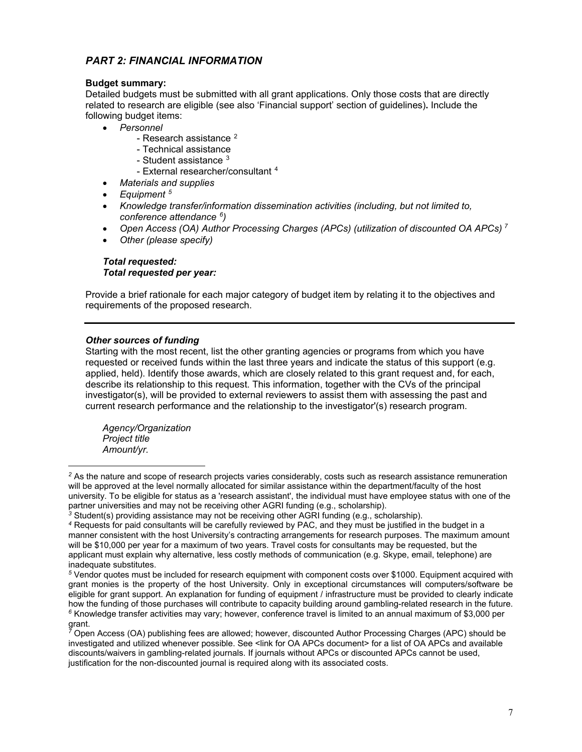## *PART 2: FINANCIAL INFORMATION*

#### **Budget summary:**

Detailed budgets must be submitted with all grant applications. Only those costs that are directly related to research are eligible (see also 'Financial support' section of guidelines)**.** Include the following budget items:

- *Personnel*
	- Research assistance <sup>[2](#page-6-0)</sup>
	- Technical assistance
	- Student assistance  $3$
	- External researcher/consultant [4](#page-6-2)
	- *Materials and supplies*
- *Equipment [5](#page-6-3)*
- *Knowledge transfer/information dissemination activities (including, but not limited to, conference attendance [6\)](#page-6-4)*
- *Open Access (OA) Author Processing Charges (APCs) (utilization of discounted OA APCs) [7](#page-6-5)*
- *Other (please specify)*

## *Total requested: Total requested per year:*

Provide a brief rationale for each major category of budget item by relating it to the objectives and requirements of the proposed research.

#### *Other sources of funding*

Starting with the most recent, list the other granting agencies or programs from which you have requested or received funds within the last three years and indicate the status of this support (e.g. applied, held). Identify those awards, which are closely related to this grant request and, for each, describe its relationship to this request. This information, together with the CVs of the principal investigator(s), will be provided to external reviewers to assist them with assessing the past and current research performance and the relationship to the investigator'(s) research program.

*Agency/Organization Project title Amount/yr.*

<span id="page-6-0"></span> $\overline{a}$ *<sup>2</sup>* As the nature and scope of research projects varies considerably, costs such as research assistance remuneration will be approved at the level normally allocated for similar assistance within the department/faculty of the host university. To be eligible for status as a 'research assistant', the individual must have employee status with one of the partner universities and may not be receiving other AGRI funding (e.g., scholarship).

<span id="page-6-1"></span>*<sup>3</sup>* Student(s) providing assistance may not be receiving other AGRI funding (e.g., scholarship).

<span id="page-6-2"></span>*<sup>4</sup>* Requests for paid consultants will be carefully reviewed by PAC, and they must be justified in the budget in a manner consistent with the host University's contracting arrangements for research purposes. The maximum amount will be \$10,000 per year for a maximum of two years. Travel costs for consultants may be requested, but the applicant must explain why alternative, less costly methods of communication (e.g. Skype, email, telephone) are inadequate substitutes.

<span id="page-6-3"></span>*<sup>5</sup>* Vendor quotes must be included for research equipment with component costs over \$1000. Equipment acquired with grant monies is the property of the host University. Only in exceptional circumstances will computers/software be eligible for grant support. An explanation for funding of equipment / infrastructure must be provided to clearly indicate how the funding of those purchases will contribute to capacity building around gambling-related research in the future. *<sup>6</sup>* Knowledge transfer activities may vary; however, conference travel is limited to an annual maximum of \$3,000 per grant.

<span id="page-6-5"></span><span id="page-6-4"></span>*<sup>7</sup>* Open Access (OA) publishing fees are allowed; however, discounted Author Processing Charges (APC) should be investigated and utilized whenever possible. See <link for OA APCs document> for a list of OA APCs and available discounts/waivers in gambling-related journals. If journals without APCs or discounted APCs cannot be used, justification for the non-discounted journal is required along with its associated costs.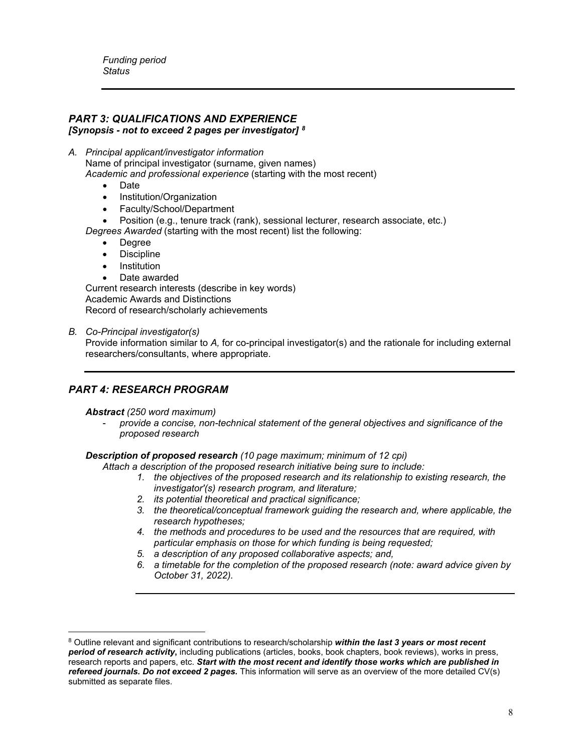*Funding period Status*

# *PART 3: QUALIFICATIONS AND EXPERIENCE*

*[Synopsis - not to exceed 2 pages per investigator] [8](#page-7-0)*

*A. Principal applicant/investigator information*  Name of principal investigator (surname, given names) *Academic and professional experience* (starting with the most recent)

- Date
- Institution/Organization
- Faculty/School/Department
- Position (e.g., tenure track (rank), sessional lecturer, research associate, etc.)
- *Degrees Awarded* (starting with the most recent) list the following:
	- Degree
	- **Discipline**
	- **Institution**
	- Date awarded

Current research interests (describe in key words) Academic Awards and Distinctions Record of research/scholarly achievements

*B. Co-Principal investigator(s)*

Provide information similar to *A,* for co-principal investigator(s) and the rationale for including external researchers/consultants, where appropriate.

# *PART 4: RESEARCH PROGRAM*

*Abstract (250 word maximum)*

- *provide a concise, non-technical statement of the general objectives and significance of the proposed research* 

*Description of proposed research (10 page maximum; minimum of 12 cpi)*

 *Attach a description of the proposed research initiative being sure to include:*

- *1. the objectives of the proposed research and its relationship to existing research, the investigator'(s) research program, and literature;*
- *2. its potential theoretical and practical significance;*
- *3. the theoretical/conceptual framework guiding the research and, where applicable, the research hypotheses;*
- *4. the methods and procedures to be used and the resources that are required, with particular emphasis on those for which funding is being requested;*
- *5. a description of any proposed collaborative aspects; and,*
- *6. a timetable for the completion of the proposed research (note: award advice given by October 31, 2022).*

<span id="page-7-0"></span> $\overline{a}$ <sup>8</sup> Outline relevant and significant contributions to research/scholarship *within the last 3 years or most recent period of research activity***,** including publications (articles, books, book chapters, book reviews), works in press, research reports and papers, etc. *Start with the most recent and identify those works which are published in refereed journals. Do not exceed 2 pages***.** This information will serve as an overview of the more detailed CV(s) submitted as separate files.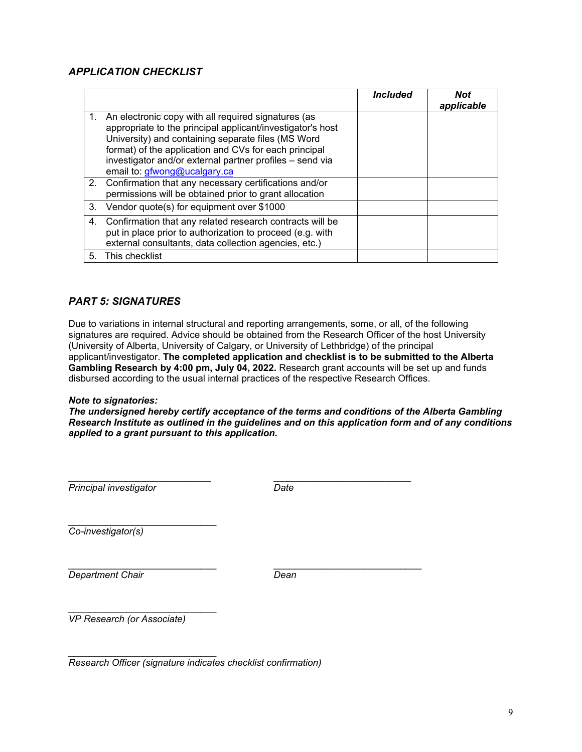# *APPLICATION CHECKLIST*

|    |                                                                                                                                                                                                                                                                                                                              | <i><b>Included</b></i> | <b>Not</b><br>applicable |
|----|------------------------------------------------------------------------------------------------------------------------------------------------------------------------------------------------------------------------------------------------------------------------------------------------------------------------------|------------------------|--------------------------|
|    | An electronic copy with all required signatures (as<br>appropriate to the principal applicant/investigator's host<br>University) and containing separate files (MS Word<br>format) of the application and CVs for each principal<br>investigator and/or external partner profiles - send via<br>email to: gfwong@ucalgary.ca |                        |                          |
|    | 2. Confirmation that any necessary certifications and/or<br>permissions will be obtained prior to grant allocation                                                                                                                                                                                                           |                        |                          |
| 3. | Vendor quote(s) for equipment over \$1000                                                                                                                                                                                                                                                                                    |                        |                          |
| 4. | Confirmation that any related research contracts will be<br>put in place prior to authorization to proceed (e.g. with<br>external consultants, data collection agencies, etc.)                                                                                                                                               |                        |                          |
| 5. | This checklist                                                                                                                                                                                                                                                                                                               |                        |                          |

## *PART 5: SIGNATURES*

Due to variations in internal structural and reporting arrangements, some, or all, of the following signatures are required. Advice should be obtained from the Research Officer of the host University (University of Alberta, University of Calgary, or University of Lethbridge) of the principal applicant/investigator. **The completed application and checklist is to be submitted to the Alberta Gambling Research by 4:00 pm, July 04, 2022.** Research grant accounts will be set up and funds disbursed according to the usual internal practices of the respective Research Offices.

#### *Note to signatories:*

*The undersigned hereby certify acceptance of the terms and conditions of the Alberta Gambling Research Institute as outlined in the guidelines and on this application form and of any conditions applied to a grant pursuant to this application.*

| Principal investigator            | Date |  |
|-----------------------------------|------|--|
| Co-investigator(s)                |      |  |
| <b>Department Chair</b>           | Dean |  |
| <b>VP Research (or Associate)</b> |      |  |

\_\_\_\_\_\_\_\_\_\_\_\_\_\_\_\_\_\_\_\_\_\_\_\_\_\_\_\_ *Research Officer (signature indicates checklist confirmation)*